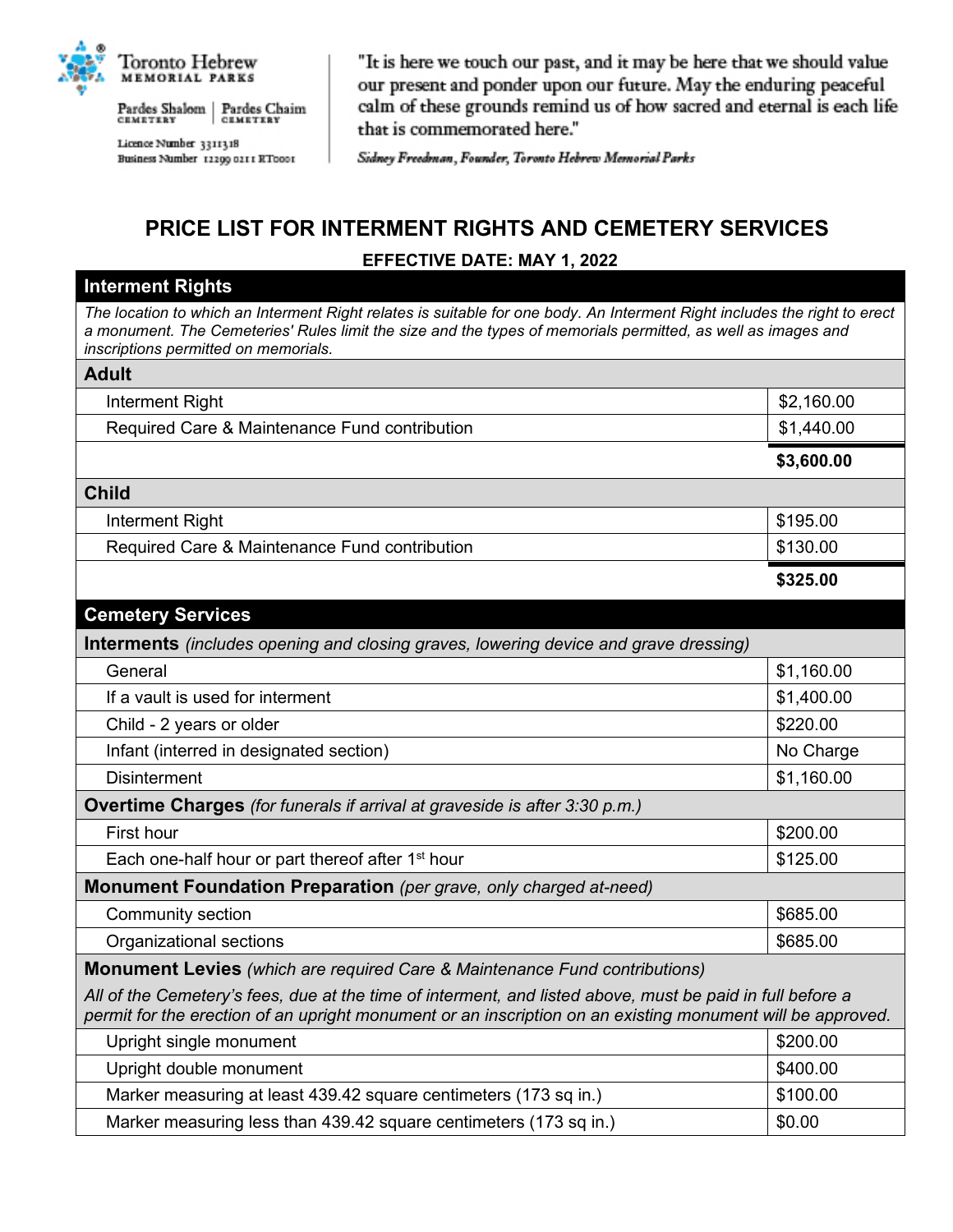

Pardes Shalom | Pardes Chaim<br>CEMETERY | CEMETERY

Licence Number 3311318 Business Number 12299 0211 RT0001

"It is here we touch our past, and it may be here that we should value our present and ponder upon our future. May the enduring peaceful calm of these grounds remind us of how sacred and eternal is each life that is commemorated here."

Sidney Freedman, Founder, Toronto Hebrew Memorial Parks

## **PRICE LIST FOR INTERMENT RIGHTS AND CEMETERY SERVICES EFFECTIVE DATE: MAY 1, 2022**

## **Interment Rights**

*The location to which an Interment Right relates is suitable for one body. An Interment Right includes the right to erect a monument. The Cemeteries' Rules limit the size and the types of memorials permitted, as well as images and inscriptions permitted on memorials.*

| <b>Adult</b>                                                                                                                                                                                                            |            |
|-------------------------------------------------------------------------------------------------------------------------------------------------------------------------------------------------------------------------|------------|
| Interment Right                                                                                                                                                                                                         | \$2,160.00 |
| Required Care & Maintenance Fund contribution                                                                                                                                                                           | \$1,440.00 |
|                                                                                                                                                                                                                         | \$3,600.00 |
| <b>Child</b>                                                                                                                                                                                                            |            |
| Interment Right                                                                                                                                                                                                         | \$195.00   |
| Required Care & Maintenance Fund contribution                                                                                                                                                                           | \$130.00   |
|                                                                                                                                                                                                                         | \$325.00   |
| <b>Cemetery Services</b>                                                                                                                                                                                                |            |
| <b>Interments</b> (includes opening and closing graves, lowering device and grave dressing)                                                                                                                             |            |
| General                                                                                                                                                                                                                 | \$1,160.00 |
| If a vault is used for interment                                                                                                                                                                                        | \$1,400.00 |
| Child - 2 years or older                                                                                                                                                                                                | \$220.00   |
| Infant (interred in designated section)                                                                                                                                                                                 | No Charge  |
| <b>Disinterment</b>                                                                                                                                                                                                     | \$1,160.00 |
| <b>Overtime Charges</b> (for funerals if arrival at graveside is after 3:30 p.m.)                                                                                                                                       |            |
| First hour                                                                                                                                                                                                              | \$200.00   |
| Each one-half hour or part thereof after 1 <sup>st</sup> hour                                                                                                                                                           | \$125.00   |
| Monument Foundation Preparation (per grave, only charged at-need)                                                                                                                                                       |            |
| Community section                                                                                                                                                                                                       | \$685.00   |
| Organizational sections                                                                                                                                                                                                 | \$685.00   |
| <b>Monument Levies</b> (which are required Care & Maintenance Fund contributions)                                                                                                                                       |            |
| All of the Cemetery's fees, due at the time of interment, and listed above, must be paid in full before a<br>permit for the erection of an upright monument or an inscription on an existing monument will be approved. |            |
| Upright single monument                                                                                                                                                                                                 | \$200.00   |
| Upright double monument                                                                                                                                                                                                 | \$400.00   |
| Marker measuring at least 439.42 square centimeters (173 sq in.)                                                                                                                                                        | \$100.00   |

Marker measuring less than 439.42 square centimeters (173 sq in.)  $\vert$ \$0.00